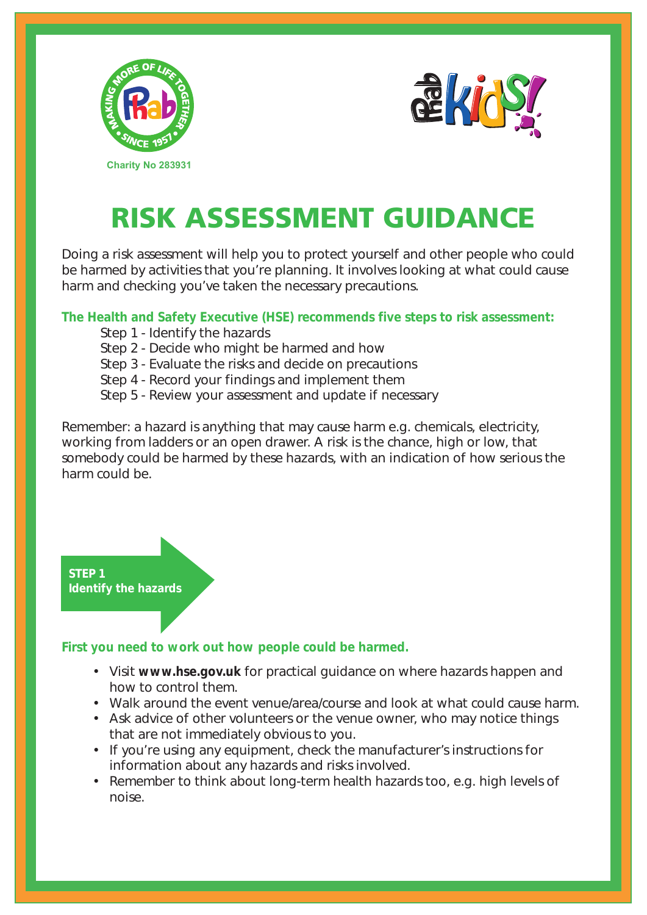



## RISK ASSESSMENT GUIDANCE

Doing a risk assessment will help you to protect yourself and other people who could be harmed by activities that you're planning. It involves looking at what could cause harm and checking you've taken the necessary precautions.

**The Health and Safety Executive (HSE) recommends five steps to risk assessment:**

- Step 1 Identify the hazards
- Step 2 Decide who might be harmed and how
- Step 3 Evaluate the risks and decide on precautions
- Step 4 Record your findings and implement them
- Step 5 Review your assessment and update if necessary

Remember: a hazard is anything that may cause harm e.g. chemicals, electricity, working from ladders or an open drawer. A risk is the chance, high or low, that somebody could be harmed by these hazards, with an indication of how serious the harm could be.

**STEP 1 Identify the hazards**

## **First you need to work out how people could be harmed.**

- Visit **www.hse.gov.uk** for practical guidance on where hazards happen and how to control them.
- Walk around the event venue/area/course and look at what could cause harm.
- Ask advice of other volunteers or the venue owner, who may notice things that are not immediately obvious to you.
- If you're using any equipment, check the manufacturer's instructions for information about any hazards and risks involved.
- Remember to think about long-term health hazards too, e.g. high levels of noise.